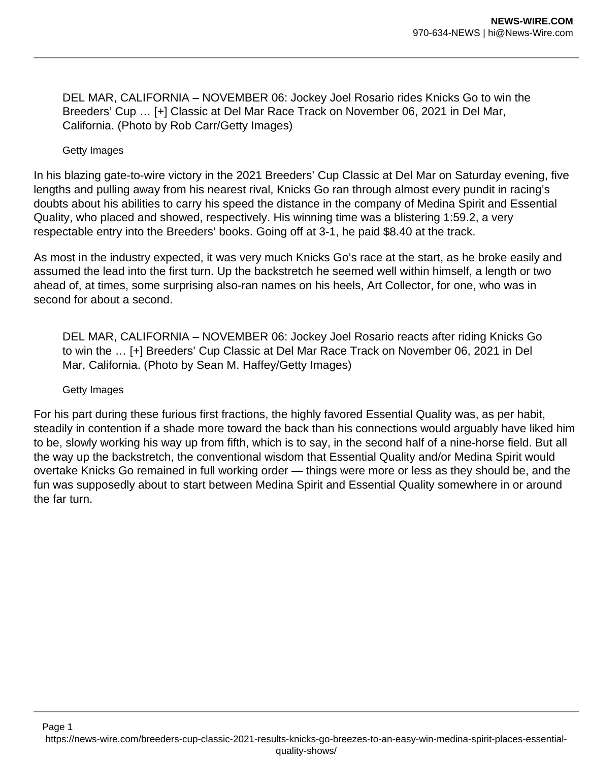DEL MAR, CALIFORNIA – NOVEMBER 06: Jockey Joel Rosario rides Knicks Go to win the Breeders' Cup … [+] Classic at Del Mar Race Track on November 06, 2021 in Del Mar, California. (Photo by Rob Carr/Getty Images)

Getty Images

In his blazing gate-to-wire victory in the 2021 Breeders' Cup Classic at Del Mar on Saturday evening, five lengths and pulling away from his nearest rival, Knicks Go ran through almost every pundit in racing's doubts about his abilities to carry his speed the distance in the company of Medina Spirit and Essential Quality, who placed and showed, respectively. His winning time was a blistering 1:59.2, a very respectable entry into the Breeders' books. Going off at 3-1, he paid \$8.40 at the track.

As most in the industry expected, it was very much Knicks Go's race at the start, as he broke easily and assumed the lead into the first turn. Up the backstretch he seemed well within himself, a length or two ahead of, at times, some surprising also-ran names on his heels, Art Collector, for one, who was in second for about a second.

DEL MAR, CALIFORNIA – NOVEMBER 06: Jockey Joel Rosario reacts after riding Knicks Go to win the … [+] Breeders' Cup Classic at Del Mar Race Track on November 06, 2021 in Del Mar, California. (Photo by Sean M. Haffey/Getty Images)

Getty Images

For his part during these furious first fractions, the highly favored Essential Quality was, as per habit, steadily in contention if a shade more toward the back than his connections would arguably have liked him to be, slowly working his way up from fifth, which is to say, in the second half of a nine-horse field. But all the way up the backstretch, the conventional wisdom that Essential Quality and/or Medina Spirit would overtake Knicks Go remained in full working order — things were more or less as they should be, and the fun was supposedly about to start between Medina Spirit and Essential Quality somewhere in or around the far turn.